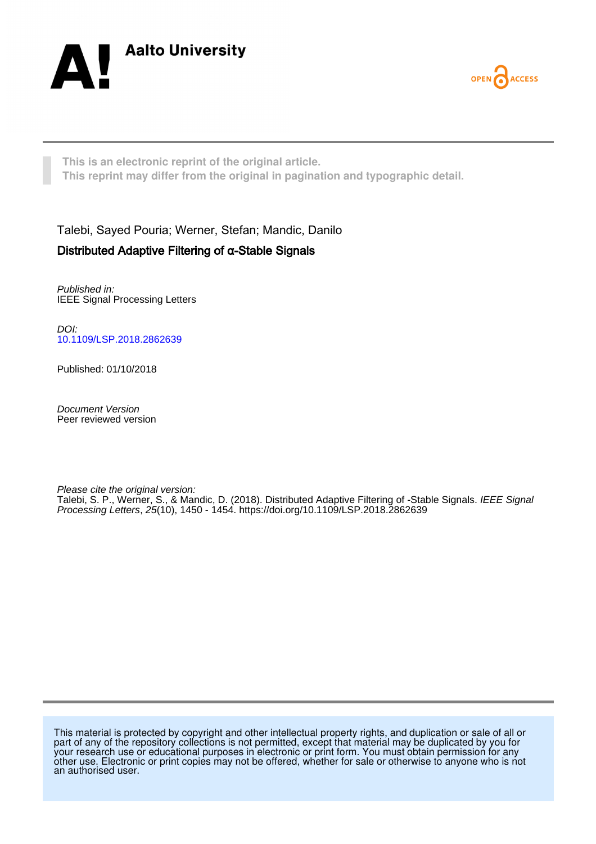



**This is an electronic reprint of the original article. This reprint may differ from the original in pagination and typographic detail.**

Talebi, Sayed Pouria; Werner, Stefan; Mandic, Danilo Distributed Adaptive Filtering of α-Stable Signals

Published in: IEEE Signal Processing Letters

DOI: [10.1109/LSP.2018.2862639](https://doi.org/10.1109/LSP.2018.2862639)

Published: 01/10/2018

Document Version Peer reviewed version

Please cite the original version:

Talebi, S. P., Werner, S., & Mandic, D. (2018). Distributed Adaptive Filtering of -Stable Signals. *IEEE Signal* Processing Letters, 25(10), 1450 - 1454. <https://doi.org/10.1109/LSP.2018.2862639>

This material is protected by copyright and other intellectual property rights, and duplication or sale of all or part of any of the repository collections is not permitted, except that material may be duplicated by you for your research use or educational purposes in electronic or print form. You must obtain permission for any other use. Electronic or print copies may not be offered, whether for sale or otherwise to anyone who is not an authorised user.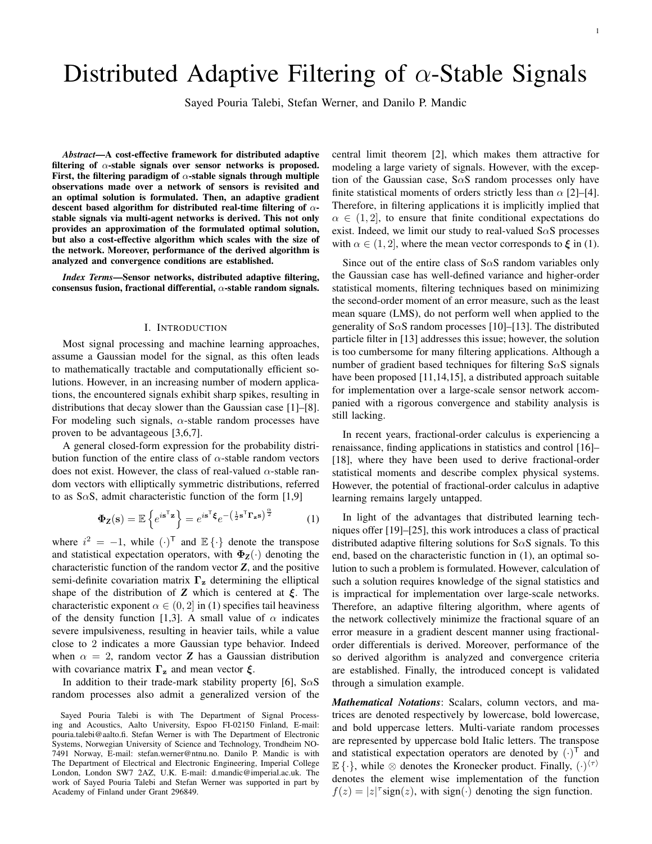# Distributed Adaptive Filtering of  $\alpha$ -Stable Signals

Sayed Pouria Talebi, Stefan Werner, and Danilo P. Mandic

*Abstract*—A cost-effective framework for distributed adaptive filtering of  $\alpha$ -stable signals over sensor networks is proposed. First, the filtering paradigm of  $\alpha$ -stable signals through multiple observations made over a network of sensors is revisited and an optimal solution is formulated. Then, an adaptive gradient descent based algorithm for distributed real-time filtering of  $\alpha$ stable signals via multi-agent networks is derived. This not only provides an approximation of the formulated optimal solution, but also a cost-effective algorithm which scales with the size of the network. Moreover, performance of the derived algorithm is analyzed and convergence conditions are established.

*Index Terms*—Sensor networks, distributed adaptive filtering, consensus fusion, fractional differential,  $\alpha$ -stable random signals.

## I. INTRODUCTION

Most signal processing and machine learning approaches, assume a Gaussian model for the signal, as this often leads to mathematically tractable and computationally efficient solutions. However, in an increasing number of modern applications, the encountered signals exhibit sharp spikes, resulting in distributions that decay slower than the Gaussian case [1]–[8]. For modeling such signals,  $\alpha$ -stable random processes have proven to be advantageous [3,6,7].

A general closed-form expression for the probability distribution function of the entire class of  $\alpha$ -stable random vectors does not exist. However, the class of real-valued  $\alpha$ -stable random vectors with elliptically symmetric distributions, referred to as S $\alpha$ S, admit characteristic function of the form [1,9]

$$
\Phi_{\mathbf{Z}}(\mathbf{s}) = \mathbb{E}\left\{e^{i\mathbf{s}^{\mathsf{T}}\mathbf{z}}\right\} = e^{i\mathbf{s}^{\mathsf{T}}\boldsymbol{\xi}}e^{-\left(\frac{1}{2}\mathbf{s}^{\mathsf{T}}\boldsymbol{\Gamma}_{\mathbf{z}}\mathbf{s}\right)^{\frac{\alpha}{2}}}
$$
(1)

where  $i^2 = -1$ , while  $(\cdot)^T$  and  $\mathbb{E} {\{\cdot\}}$  denote the transpose and statistical expectation operators, with  $\Phi_{Z}(\cdot)$  denoting the characteristic function of the random vector *Z*, and the positive semi-definite covariation matrix  $\Gamma_z$  determining the elliptical shape of the distribution of **Z** which is centered at  $\xi$ . The characteristic exponent  $\alpha \in (0, 2]$  in (1) specifies tail heaviness of the density function [1,3]. A small value of  $\alpha$  indicates severe impulsiveness, resulting in heavier tails, while a value close to 2 indicates a more Gaussian type behavior. Indeed when  $\alpha = 2$ , random vector **Z** has a Gaussian distribution with covariance matrix  $\Gamma_z$  and mean vector  $\xi$ .

In addition to their trade-mark stability property [6],  $S \alpha S$ random processes also admit a generalized version of the central limit theorem [2], which makes them attractive for modeling a large variety of signals. However, with the exception of the Gaussian case,  $S \alpha S$  random processes only have finite statistical moments of orders strictly less than  $\alpha$  [2]–[4]. Therefore, in filtering applications it is implicitly implied that  $\alpha \in (1, 2]$ , to ensure that finite conditional expectations do exist. Indeed, we limit our study to real-valued  $S\alpha S$  processes with  $\alpha \in (1, 2]$ , where the mean vector corresponds to  $\xi$  in (1).

Since out of the entire class of S $\alpha$ S random variables only the Gaussian case has well-defined variance and higher-order statistical moments, filtering techniques based on minimizing the second-order moment of an error measure, such as the least mean square (LMS), do not perform well when applied to the generality of S $\alpha$ S random processes [10]–[13]. The distributed particle filter in [13] addresses this issue; however, the solution is too cumbersome for many filtering applications. Although a number of gradient based techniques for filtering  $S \alpha S$  signals have been proposed [11,14,15], a distributed approach suitable for implementation over a large-scale sensor network accompanied with a rigorous convergence and stability analysis is still lacking.

In recent years, fractional-order calculus is experiencing a renaissance, finding applications in statistics and control [16]– [18], where they have been used to derive fractional-order statistical moments and describe complex physical systems. However, the potential of fractional-order calculus in adaptive learning remains largely untapped.

In light of the advantages that distributed learning techniques offer [19]–[25], this work introduces a class of practical distributed adaptive filtering solutions for  $S \alpha S$  signals. To this end, based on the characteristic function in (1), an optimal solution to such a problem is formulated. However, calculation of such a solution requires knowledge of the signal statistics and is impractical for implementation over large-scale networks. Therefore, an adaptive filtering algorithm, where agents of the network collectively minimize the fractional square of an error measure in a gradient descent manner using fractionalorder differentials is derived. Moreover, performance of the so derived algorithm is analyzed and convergence criteria are established. Finally, the introduced concept is validated through a simulation example.

*Mathematical Notations*: Scalars, column vectors, and matrices are denoted respectively by lowercase, bold lowercase, and bold uppercase letters. Multi-variate random processes are represented by uppercase bold Italic letters. The transpose and statistical expectation operators are denoted by  $(\cdot)^{\mathsf{T}}$  and  $\mathbb{E}\{\cdot\}$ , while  $\otimes$  denotes the Kronecker product. Finally,  $(\cdot)^{\langle \tau \rangle}$ denotes the element wise implementation of the function  $f(z) = |z|^{\tau}$ sign(z), with sign(·) denoting the sign function.

Sayed Pouria Talebi is with The Department of Signal Processing and Acoustics, Aalto University, Espoo FI-02150 Finland, E-mail: pouria.talebi@aalto.fi. Stefan Werner is with The Department of Electronic Systems, Norwegian University of Science and Technology, Trondheim NO-7491 Norway, E-mail: stefan.werner@ntnu.no. Danilo P. Mandic is with The Department of Electrical and Electronic Engineering, Imperial College London, London SW7 2AZ, U.K. E-mail: d.mandic@imperial.ac.uk. The work of Sayed Pouria Talebi and Stefan Werner was supported in part by Academy of Finland under Grant 296849.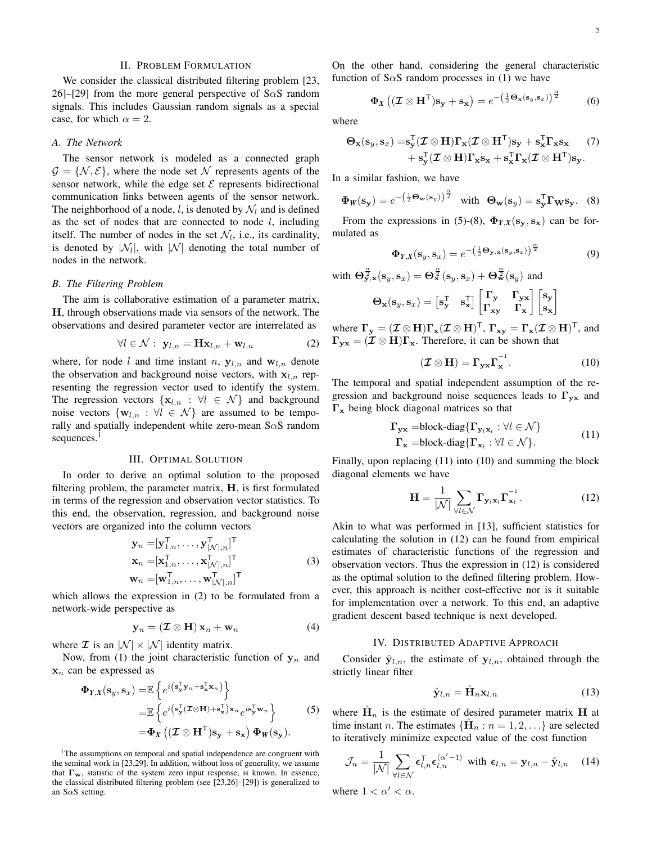# II. PROBLEM FORMULATION

We consider the classical distributed filtering problem [23, 26]–[29] from the more general perspective of S $\alpha$ S random signals. This includes Gaussian random signals as a special case, for which  $\alpha = 2$ .

### *A. The Network*

The sensor network is modeled as a connected graph  $\mathcal{G} = \{ \mathcal{N}, \mathcal{E} \}$ , where the node set N represents agents of the sensor network, while the edge set  $\mathcal E$  represents bidirectional communication links between agents of the sensor network. The neighborhood of a node, l, is denoted by  $\mathcal{N}_l$  and is defined as the set of nodes that are connected to node  $l$ , including itself. The number of nodes in the set  $\mathcal{N}_l$ , i.e., its cardinality, is denoted by  $|\mathcal{N}_l|$ , with  $|\mathcal{N}|$  denoting the total number of nodes in the network.

#### *B. The Filtering Problem*

The aim is collaborative estimation of a parameter matrix, H, through observations made via sensors of the network. The observations and desired parameter vector are interrelated as

$$
\forall l \in \mathcal{N}: \mathbf{y}_{l,n} = \mathbf{Hx}_{l,n} + \mathbf{w}_{l,n}
$$
 (2)

where, for node l and time instant n,  $y_{l,n}$  and  $w_{l,n}$  denote the observation and background noise vectors, with  $x_{l,n}$  representing the regression vector used to identify the system. The regression vectors  $\{x_{l,n} : \forall l \in \mathcal{N}\}\$  and background noise vectors  $\{w_{l,n} : \forall l \in \mathcal{N}\}\$ are assumed to be temporally and spatially independent white zero-mean  $S \alpha S$  random sequences.<sup>1</sup>

# III. OPTIMAL SOLUTION

In order to derive an optimal solution to the proposed filtering problem, the parameter matrix,  $H$ , is first formulated in terms of the regression and observation vector statistics. To this end, the observation, regression, and background noise vectors are organized into the column vectors

$$
\mathbf{y}_{n} = [\mathbf{y}_{1,n}^{T}, \dots, \mathbf{y}_{|\mathcal{N}|,n}^{T}]^{T}
$$
  
\n
$$
\mathbf{x}_{n} = [\mathbf{x}_{1,n}^{T}, \dots, \mathbf{x}_{|\mathcal{N}|,n}^{T}]^{T}
$$
  
\n
$$
\mathbf{w}_{n} = [\mathbf{w}_{1,n}^{T}, \dots, \mathbf{w}_{|\mathcal{N}|,n}^{T}]^{T}
$$
\n(3)

which allows the expression in (2) to be formulated from a network-wide perspective as

$$
\mathbf{y}_n = (\mathcal{I} \otimes \mathbf{H}) \mathbf{x}_n + \mathbf{w}_n \tag{4}
$$

where  $\mathcal I$  is an  $|\mathcal N| \times |\mathcal N|$  identity matrix.

Now, from (1) the joint characteristic function of  $y_n$  and  $\mathbf{x}_n$  can be expressed as

$$
\Phi_{Y,X}(\mathbf{s}_y, \mathbf{s}_x) = \mathbb{E}\left\{e^{i\left(\mathbf{s}_y^{\mathsf{T}}\mathbf{y}_n + \mathbf{s}_x^{\mathsf{T}}\mathbf{x}_n\right)}\right\}
$$
\n
$$
= \mathbb{E}\left\{e^{i\left(\mathbf{s}_y^{\mathsf{T}}(\mathcal{I}\otimes\mathbf{H}) + \mathbf{s}_x^{\mathsf{T}}\right)\mathbf{x}_n}e^{i\mathbf{s}_y^{\mathsf{T}}\mathbf{w}_n}\right\}
$$
\n
$$
= \Phi_X\left((\mathcal{I}\otimes\mathbf{H}^{\mathsf{T}})\mathbf{s}_y + \mathbf{s}_x\right)\Phi_W(\mathbf{s}_y).
$$
\n(5)

<sup>1</sup>The assumptions on temporal and spatial independence are congruent with the seminal work in [23,29]. In addition, without loss of generality, we assume that  $\Gamma_w$ , statistic of the system zero input response, is known. In essence, the classical distributed filtering problem (see [23,26]–[29]) is generalized to an S $\alpha$ S setting.

On the other hand, considering the general characteristic function of S $\alpha$ S random processes in (1) we have

$$
\Phi_X\left((\mathcal{I}\otimes \mathbf{H}^\mathsf{T})\mathbf{s}_\mathbf{y} + \mathbf{s}_\mathbf{x}\right) = e^{-\left(\frac{1}{2}\mathbf{\Theta}_\mathbf{x}(\mathbf{s}_y,\mathbf{s}_x)\right)^{\frac{\alpha}{2}}}\tag{6}
$$

where

$$
\Theta_{\mathbf{x}}(\mathbf{s}_y, \mathbf{s}_x) = \mathbf{s}_{\mathbf{y}}^{\mathsf{T}}(\mathcal{I} \otimes \mathbf{H})\Gamma_{\mathbf{x}}(\mathcal{I} \otimes \mathbf{H}^{\mathsf{T}})\mathbf{s}_{\mathbf{y}} + \mathbf{s}_{\mathbf{x}}^{\mathsf{T}}\Gamma_{\mathbf{x}}\mathbf{s}_{\mathbf{x}} \qquad (7) \\ + \mathbf{s}_{\mathbf{y}}^{\mathsf{T}}(\mathcal{I} \otimes \mathbf{H})\Gamma_{\mathbf{x}}\mathbf{s}_{\mathbf{x}} + \mathbf{s}_{\mathbf{x}}^{\mathsf{T}}\Gamma_{\mathbf{x}}(\mathcal{I} \otimes \mathbf{H}^{\mathsf{T}})\mathbf{s}_{\mathbf{y}}.
$$

In a similar fashion, we have

$$
\Phi_{W}(\mathbf{s}_{\mathbf{y}}) = e^{-\left(\frac{1}{2}\Theta_{\mathbf{w}}(\mathbf{s}_{y})\right)^{\frac{\alpha}{2}}} \quad \text{with} \quad \Theta_{\mathbf{w}}(\mathbf{s}_{y}) = \mathbf{s}_{\mathbf{y}}^{\mathsf{T}} \mathbf{\Gamma}_{\mathbf{W}} \mathbf{s}_{\mathbf{y}}. \tag{8}
$$

From the expressions in (5)-(8),  $\Phi_{Y,X}(\mathbf{s}_y, \mathbf{s}_x)$  can be formulated as

$$
\Phi_{Y,X}(\mathbf{s}_y,\mathbf{s}_x) = e^{-\left(\frac{1}{2}\Theta_{\mathbf{y},\mathbf{x}}(\mathbf{s}_y,\mathbf{s}_x)\right)^{\frac{\alpha}{2}}}
$$
(9)

with  $\Theta_{\mathbf{y},\mathbf{x}}^{\frac{\alpha}{2}}(\mathbf{s}_y,\mathbf{s}_x)=\Theta_{\mathbf{x}}^{\frac{\alpha}{2}}(\mathbf{s}_y,\mathbf{s}_x)+\Theta_{\mathbf{w}}^{\frac{\alpha}{2}}(\mathbf{s}_y)$  and

$$
\Theta_{\mathbf{x}}(\mathbf{s}_y, \mathbf{s}_x) = \begin{bmatrix} \mathbf{s}_y^{\mathsf{T}} & \mathbf{s}_x^{\mathsf{T}} \end{bmatrix} \begin{bmatrix} \mathbf{\Gamma}_\mathbf{y} & \mathbf{\Gamma}_{\mathbf{y}\mathbf{x}} \\ \mathbf{\Gamma}_{\mathbf{x}\mathbf{y}} & \mathbf{\Gamma}_{\mathbf{x}} \end{bmatrix} \begin{bmatrix} \mathbf{s}_\mathbf{y} \\ \mathbf{s}_\mathbf{x} \end{bmatrix}
$$

where  $\Gamma_{y} = (\mathcal{I} \otimes \mathbf{H}) \Gamma_{x} (\mathcal{I} \otimes \mathbf{H})^{\mathsf{T}}$ ,  $\Gamma_{xy} = \Gamma_{x} (\mathcal{I} \otimes \mathbf{H})^{\mathsf{T}}$ , and  $\Gamma_{\mathbf{y}\mathbf{x}} = (\mathcal{I} \otimes \mathbf{H})\Gamma_{\mathbf{x}}$ . Therefore, it can be shown that

$$
(\mathcal{I} \otimes \mathbf{H}) = \Gamma_{\mathbf{y} \mathbf{x}} \Gamma_{\mathbf{x}}^{-1}.
$$
 (10)

The temporal and spatial independent assumption of the regression and background noise sequences leads to  $\Gamma_{vx}$  and Γ<sup>x</sup> being block diagonal matrices so that

$$
\begin{aligned} \n\Gamma_{\mathbf{y}\mathbf{x}} &= \text{block-diag}\{\Gamma_{\mathbf{y}_l\mathbf{x}_l} : \forall l \in \mathcal{N}\} \\ \n\Gamma_{\mathbf{x}} &= \text{block-diag}\{\Gamma_{\mathbf{x}_l} : \forall l \in \mathcal{N}\}. \n\end{aligned} \tag{11}
$$

Finally, upon replacing (11) into (10) and summing the block diagonal elements we have

$$
\mathbf{H} = \frac{1}{|\mathcal{N}|} \sum_{\forall l \in \mathcal{N}} \mathbf{\Gamma}_{\mathbf{y}_l \mathbf{x}_l} \mathbf{\Gamma}_{\mathbf{x}_l}^{-1}.
$$
 (12)

Akin to what was performed in [13], sufficient statistics for calculating the solution in (12) can be found from empirical estimates of characteristic functions of the regression and observation vectors. Thus the expression in (12) is considered as the optimal solution to the defined filtering problem. However, this approach is neither cost-effective nor is it suitable for implementation over a network. To this end, an adaptive gradient descent based technique is next developed.

## IV. DISTRIBUTED ADAPTIVE APPROACH

Consider  $\hat{\mathbf{y}}_{l,n}$ , the estimate of  $\mathbf{y}_{l,n}$ , obtained through the strictly linear filter

$$
\hat{\mathbf{y}}_{l,n} = \hat{\mathbf{H}}_n \mathbf{x}_{l,n} \tag{13}
$$

where  $\hat{H}_n$  is the estimate of desired parameter matrix H at time instant *n*. The estimates  $\{\hat{H}_n : n = 1, 2, ...\}$  are selected to iteratively minimize expected value of the cost function

$$
\mathcal{J}_n = \frac{1}{|\mathcal{N}|} \sum_{\forall l \in \mathcal{N}} \boldsymbol{\epsilon}_{l,n}^{\mathsf{T}} \boldsymbol{\epsilon}_{l,n}^{\langle \alpha' - 1 \rangle} \text{ with } \boldsymbol{\epsilon}_{l,n} = \mathbf{y}_{l,n} - \hat{\mathbf{y}}_{l,n} \quad (14)
$$

where  $1 < \alpha' < \alpha$ .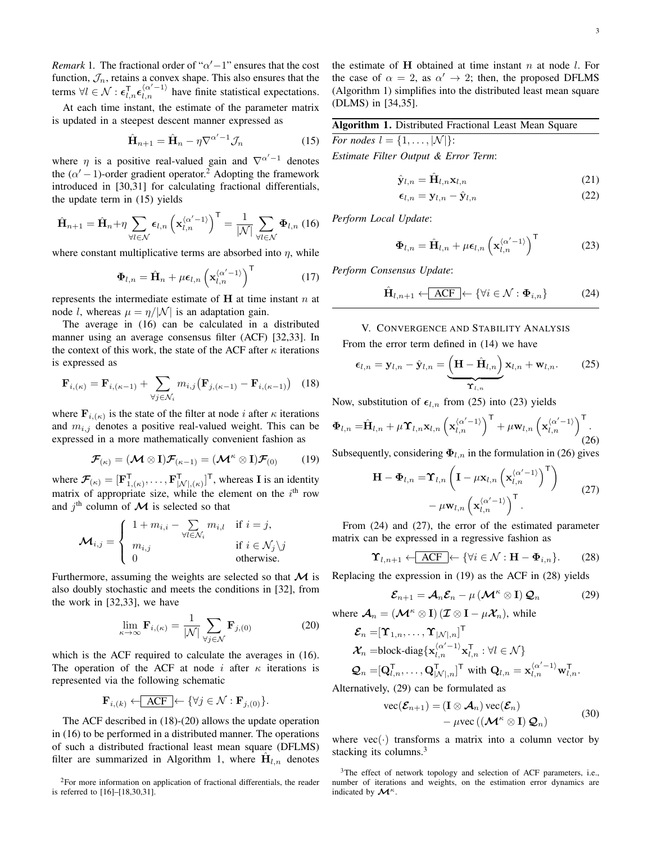*Remark* 1. The fractional order of " $\alpha'$  –1" ensures that the cost function,  $\mathcal{J}_n$ , retains a convex shape. This also ensures that the terms  $\forall l \in \mathcal{N} : \epsilon_{l,n}^T \epsilon_{l,n}^{(\alpha'-1)}$  have finite statistical expectations.

At each time instant, the estimate of the parameter matrix is updated in a steepest descent manner expressed as

$$
\hat{\mathbf{H}}_{n+1} = \hat{\mathbf{H}}_n - \eta \nabla^{\alpha'-1} \mathcal{J}_n \tag{15}
$$

where  $\eta$  is a positive real-valued gain and  $\nabla^{\alpha'-1}$  denotes the  $(\alpha' - 1)$ -order gradient operator.<sup>2</sup> Adopting the framework introduced in [30,31] for calculating fractional differentials, the update term in (15) yields

$$
\hat{\mathbf{H}}_{n+1} = \hat{\mathbf{H}}_n + \eta \sum_{\forall l \in \mathcal{N}} \epsilon_{l,n} \left( \mathbf{x}_{l,n}^{\langle \alpha' - 1 \rangle} \right)^{\mathsf{T}} = \frac{1}{|\mathcal{N}|} \sum_{\forall l \in \mathcal{N}} \Phi_{l,n} \text{ (16)}
$$

where constant multiplicative terms are absorbed into  $\eta$ , while

$$
\mathbf{\Phi}_{l,n} = \hat{\mathbf{H}}_n + \mu \boldsymbol{\epsilon}_{l,n} \left( \mathbf{x}_{l,n}^{\langle \alpha'-1 \rangle} \right)^{\mathsf{T}}
$$
(17)

represents the intermediate estimate of  $H$  at time instant  $n$  at node l, whereas  $\mu = \eta/|\mathcal{N}|$  is an adaptation gain.

The average in (16) can be calculated in a distributed manner using an average consensus filter (ACF) [32,33]. In the context of this work, the state of the ACF after  $\kappa$  iterations is expressed as

$$
\mathbf{F}_{i,(\kappa)} = \mathbf{F}_{i,(\kappa-1)} + \sum_{\forall j \in \mathcal{N}_i} m_{i,j} \left( \mathbf{F}_{j,(\kappa-1)} - \mathbf{F}_{i,(\kappa-1)} \right) \tag{18}
$$

where  $\mathbf{F}_{i,(\kappa)}$  is the state of the filter at node i after  $\kappa$  iterations and  $m_{i,j}$  denotes a positive real-valued weight. This can be expressed in a more mathematically convenient fashion as

$$
\boldsymbol{\mathcal{F}}_{(\kappa)} = (\boldsymbol{\mathcal{M}} \otimes \mathbf{I}) \boldsymbol{\mathcal{F}}_{(\kappa-1)} = (\boldsymbol{\mathcal{M}}^{\kappa} \otimes \mathbf{I}) \boldsymbol{\mathcal{F}}_{(0)} \qquad (19)
$$

where  $\mathcal{F}_{(\kappa)} = [\mathbf{F}_{1,(\kappa)}^{\mathsf{T}}, \dots, \mathbf{F}_{|\mathcal{N}|,(\kappa)}^{\mathsf{T}}]^{\mathsf{T}}$ , whereas **I** is an identity matrix of appropriate size, while the element on the  $i<sup>th</sup>$  row and  $j^{\text{th}}$  column of  $\boldsymbol{\mathcal{M}}$  is selected so that

$$
\mathcal{M}_{i,j} = \begin{cases} 1 + m_{i,i} - \sum_{\forall l \in \mathcal{N}_i} m_{i,l} & \text{if } i = j, \\ m_{i,j} & \text{if } i \in \mathcal{N}_j \backslash j \\ 0 & \text{otherwise.} \end{cases}
$$

Furthermore, assuming the weights are selected so that  $\mathcal M$  is also doubly stochastic and meets the conditions in [32], from the work in [32,33], we have

$$
\lim_{\kappa \to \infty} \mathbf{F}_{i, (\kappa)} = \frac{1}{|\mathcal{N}|} \sum_{\forall j \in \mathcal{N}} \mathbf{F}_{j, (0)} \tag{20}
$$

which is the ACF required to calculate the averages in (16). The operation of the ACF at node i after  $\kappa$  iterations is represented via the following schematic

$$
\mathbf{F}_{i,(k)} \leftarrow \boxed{\text{ACF}} \leftarrow \{\forall j \in \mathcal{N} : \mathbf{F}_{j,(0)}\}.
$$

The ACF described in (18)-(20) allows the update operation in (16) to be performed in a distributed manner. The operations of such a distributed fractional least mean square (DFLMS) filter are summarized in Algorithm 1, where  $\hat{\mathbf{H}}_{l,n}$  denotes the estimate of  $H$  obtained at time instant  $n$  at node  $l$ . For the case of  $\alpha = 2$ , as  $\alpha' \rightarrow 2$ ; then, the proposed DFLMS (Algorithm 1) simplifies into the distributed least mean square (DLMS) in [34,35].

| Algorithm 1. Distributed Fractional Least Mean Square |  |
|-------------------------------------------------------|--|
| For nodes $l = \{1, \ldots,  \mathcal{N} \}$ :        |  |
| $\blacksquare$ . $\blacksquare$ . $\blacksquare$      |  |

*Estimate Filter Output & Error Term*:

$$
\hat{\mathbf{y}}_{l,n} = \hat{\mathbf{H}}_{l,n} \mathbf{x}_{l,n} \tag{21}
$$

$$
\epsilon_{l,n} = \mathbf{y}_{l,n} - \hat{\mathbf{y}}_{l,n} \tag{22}
$$

*Perform Local Update*:

$$
\Phi_{l,n} = \hat{\mathbf{H}}_{l,n} + \mu \epsilon_{l,n} \left( \mathbf{x}_{l,n}^{\langle \alpha' - 1 \rangle} \right)^{\mathsf{T}}
$$
(23)

*Perform Consensus Update*:

$$
\hat{\mathbf{H}}_{l,n+1} \leftarrow \overline{\mathbf{ACF}} \leftarrow \{ \forall i \in \mathcal{N} : \Phi_{i,n} \}
$$
 (24)

V. CONVERGENCE AND STABILITY ANALYSIS

From the error term defined in (14) we have

$$
\epsilon_{l,n} = \mathbf{y}_{l,n} - \hat{\mathbf{y}}_{l,n} = \underbrace{\left(\mathbf{H} - \hat{\mathbf{H}}_{l,n}\right)}_{\mathbf{\Upsilon}_{l,n}} \mathbf{x}_{l,n} + \mathbf{w}_{l,n}.
$$
 (25)

Now, substitution of  $\epsilon_{l,n}$  from (25) into (23) yields

$$
\Phi_{l,n} = \hat{\mathbf{H}}_{l,n} + \mu \Upsilon_{l,n} \mathbf{x}_{l,n} \left( \mathbf{x}_{l,n}^{\langle \alpha'-1 \rangle} \right)^{\mathsf{T}} + \mu \mathbf{w}_{l,n} \left( \mathbf{x}_{l,n}^{\langle \alpha'-1 \rangle} \right)^{\mathsf{T}} .
$$
\n(26)

Subsequently, considering  $\Phi_{l,n}$  in the formulation in (26) gives

$$
\mathbf{H} - \mathbf{\Phi}_{l,n} = \mathbf{\hat{Y}}_{l,n} \left( \mathbf{I} - \mu \mathbf{x}_{l,n} \left( \mathbf{x}_{l,n}^{\langle \alpha' - 1 \rangle} \right)^{\mathsf{T}} \right) - \mu \mathbf{w}_{l,n} \left( \mathbf{x}_{l,n}^{\langle \alpha' - 1 \rangle} \right)^{\mathsf{T}}.
$$
 (27)

From (24) and (27), the error of the estimated parameter matrix can be expressed in a regressive fashion as

$$
\Upsilon_{l,n+1} \leftarrow \boxed{\text{ACF}} \leftarrow \{ \forall i \in \mathcal{N} : \mathbf{H} - \Phi_{i,n} \}. \tag{28}
$$

Replacing the expression in (19) as the ACF in (28) yields

$$
\mathcal{E}_{n+1} = \mathcal{A}_n \mathcal{E}_n - \mu \left( \mathcal{M}^\kappa \otimes \mathbf{I} \right) \mathcal{Q}_n \tag{29}
$$

where  $\mathcal{A}_n = (\mathcal{M}^{\kappa} \otimes I) (\mathcal{I} \otimes I - \mu \mathcal{X}_n)$ , while

$$
\mathcal{E}_n = [\Upsilon_{1,n}, \dots, \Upsilon_{|\mathcal{N}|,n}]^\mathsf{T}
$$
  
\n
$$
\mathcal{X}_n = \text{block-diag}\{\mathbf{x}_{l,n}^{\langle \alpha, -1 \rangle} \mathbf{x}_{l,n}^\mathsf{T} : \forall l \in \mathcal{N}\}
$$
  
\n
$$
\mathcal{Q}_n = [\mathbf{Q}_{l,n}^\mathsf{T}, \dots, \mathbf{Q}_{|\mathcal{N}|,n}^\mathsf{T}]^\mathsf{T} \text{ with } \mathbf{Q}_{l,n} = \mathbf{x}_{l,n}^{\langle \alpha' - 1 \rangle} \mathbf{w}_{l,n}^\mathsf{T}.
$$

Alternatively, (29) can be formulated as

$$
\text{vec}(\mathcal{E}_{n+1}) = (\mathbf{I} \otimes \mathcal{A}_n) \text{vec}(\mathcal{E}_n) - \mu \text{vec}((\mathcal{M}^{\kappa} \otimes \mathbf{I}) \mathcal{Q}_n)
$$
(30)

where  $vec(\cdot)$  transforms a matrix into a column vector by stacking its columns.<sup>3</sup>

<sup>2</sup>For more information on application of fractional differentials, the reader is referred to [16]–[18,30,31].

<sup>&</sup>lt;sup>3</sup>The effect of network topology and selection of ACF parameters, i.e., number of iterations and weights, on the estimation error dynamics are indicated by  $\mathcal{M}^{\kappa}$ .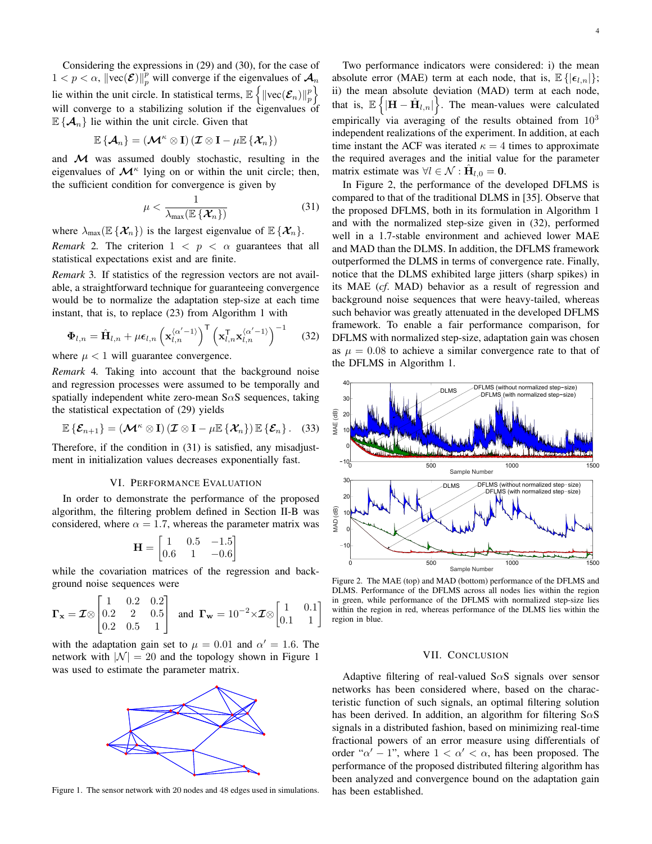Considering the expressions in (29) and (30), for the case of  $1 < p < \alpha$ ,  $\|\text{vec}(\mathcal{E})\|_p^p$  will converge if the eigenvalues of  $\mathcal{A}_n$ lie within the unit circle. In statistical terms,  $\mathbb{E}\left\{\left\|\text{vec}(\mathcal{E}_n)\right\|_p^p\right\}$ will converge to a stabilizing solution if the eigenvalues of  $\mathbb{E} \{ \mathcal{A}_n \}$  lie within the unit circle. Given that

$$
\mathbb{E}\left\{\mathcal{A}_n\right\}=(\mathcal{M}^\kappa\otimes \mathbf{I})\left(\mathcal{I}\otimes \mathbf{I}-\mu \mathbb{E}\left\{\mathcal{X}_n\right\}\right)
$$

and  $M$  was assumed doubly stochastic, resulting in the eigenvalues of  $\mathcal{M}^{\kappa}$  lying on or within the unit circle; then, the sufficient condition for convergence is given by

$$
\mu < \frac{1}{\lambda_{\max}(\mathbb{E}\left\{\mathcal{X}_n\right\})} \tag{31}
$$

where  $\lambda_{\max}(\mathbb{E}\{\mathcal{X}_n\})$  is the largest eigenvalue of  $\mathbb{E}\{\mathcal{X}_n\}$ .

*Remark* 2. The criterion  $1 < p < \alpha$  guarantees that all statistical expectations exist and are finite.

*Remark* 3*.* If statistics of the regression vectors are not available, a straightforward technique for guaranteeing convergence would be to normalize the adaptation step-size at each time instant, that is, to replace (23) from Algorithm 1 with

$$
\mathbf{\Phi}_{l,n} = \hat{\mathbf{H}}_{l,n} + \mu \epsilon_{l,n} \left( \mathbf{x}_{l,n}^{\langle \alpha' - 1 \rangle} \right)^{\mathsf{T}} \left( \mathbf{x}_{l,n}^{\mathsf{T}} \mathbf{x}_{l,n}^{\langle \alpha' - 1 \rangle} \right)^{-1} \tag{32}
$$

where  $\mu < 1$  will guarantee convergence.

*Remark* 4*.* Taking into account that the background noise and regression processes were assumed to be temporally and spatially independent white zero-mean  $S \alpha S$  sequences, taking the statistical expectation of (29) yields

$$
\mathbb{E}\left\{\mathcal{E}_{n+1}\right\} = \left(\mathcal{M}^{\kappa} \otimes \mathbf{I}\right)\left(\mathcal{I} \otimes \mathbf{I} - \mu \mathbb{E}\left\{\mathcal{X}_n\right\}\right) \mathbb{E}\left\{\mathcal{E}_n\right\}. (33)
$$

Therefore, if the condition in (31) is satisfied, any misadjustment in initialization values decreases exponentially fast.

## VI. PERFORMANCE EVALUATION

In order to demonstrate the performance of the proposed algorithm, the filtering problem defined in Section II-B was considered, where  $\alpha = 1.7$ , whereas the parameter matrix was

$$
\mathbf{H} = \begin{bmatrix} 1 & 0.5 & -1.5 \\ 0.6 & 1 & -0.6 \end{bmatrix}
$$

while the covariation matrices of the regression and background noise sequences were

$$
\Gamma_{\mathbf{x}} = \mathcal{I} \otimes \begin{bmatrix} 1 & 0.2 & 0.2 \\ 0.2 & 2 & 0.5 \\ 0.2 & 0.5 & 1 \end{bmatrix}
$$
 and  $\Gamma_{\mathbf{w}} = 10^{-2} \times \mathcal{I} \otimes \begin{bmatrix} 1 & 0.1 \\ 0.1 & 1 \end{bmatrix}$ 

with the adaptation gain set to  $\mu = 0.01$  and  $\alpha' = 1.6$ . The network with  $|\mathcal{N}| = 20$  and the topology shown in Figure 1 was used to estimate the parameter matrix.



Figure 1. The sensor network with 20 nodes and 48 edges used in simulations.

Two performance indicators were considered: i) the mean absolute error (MAE) term at each node, that is,  $\mathbb{E}\left\{|\epsilon_{l,n}|\right\}$ ; ii) the mean absolute deviation (MAD) term at each node, that is,  $\mathbb{E}\left\{ \left|\mathbf{H}-\hat{\mathbf{H}}_{l,n}\right|\right\}$ . The mean-values were calculated empirically via averaging of the results obtained from  $10^3$ independent realizations of the experiment. In addition, at each time instant the ACF was iterated  $\kappa = 4$  times to approximate the required averages and the initial value for the parameter matrix estimate was  $\forall l \in \mathcal{N} : \hat{H}_{l,0} = 0$ .

In Figure 2, the performance of the developed DFLMS is compared to that of the traditional DLMS in [35]. Observe that the proposed DFLMS, both in its formulation in Algorithm 1 and with the normalized step-size given in (32), performed well in a 1.7-stable environment and achieved lower MAE and MAD than the DLMS. In addition, the DFLMS framework outperformed the DLMS in terms of convergence rate. Finally, notice that the DLMS exhibited large jitters (sharp spikes) in its MAE (*cf*. MAD) behavior as a result of regression and background noise sequences that were heavy-tailed, whereas such behavior was greatly attenuated in the developed DFLMS framework. To enable a fair performance comparison, for DFLMS with normalized step-size, adaptation gain was chosen as  $\mu = 0.08$  to achieve a similar convergence rate to that of the DFLMS in Algorithm 1.



Figure 2. The MAE (top) and MAD (bottom) performance of the DFLMS and DLMS. Performance of the DFLMS across all nodes lies within the region in green, while performance of the DFLMS with normalized step-size lies within the region in red, whereas performance of the DLMS lies within the region in blue.

## VII. CONCLUSION

Adaptive filtering of real-valued  $S \alpha S$  signals over sensor networks has been considered where, based on the characteristic function of such signals, an optimal filtering solution has been derived. In addition, an algorithm for filtering  $S \alpha S$ signals in a distributed fashion, based on minimizing real-time fractional powers of an error measure using differentials of order " $\alpha' - 1$ ", where  $1 < \alpha' < \alpha$ , has been proposed. The performance of the proposed distributed filtering algorithm has been analyzed and convergence bound on the adaptation gain has been established.